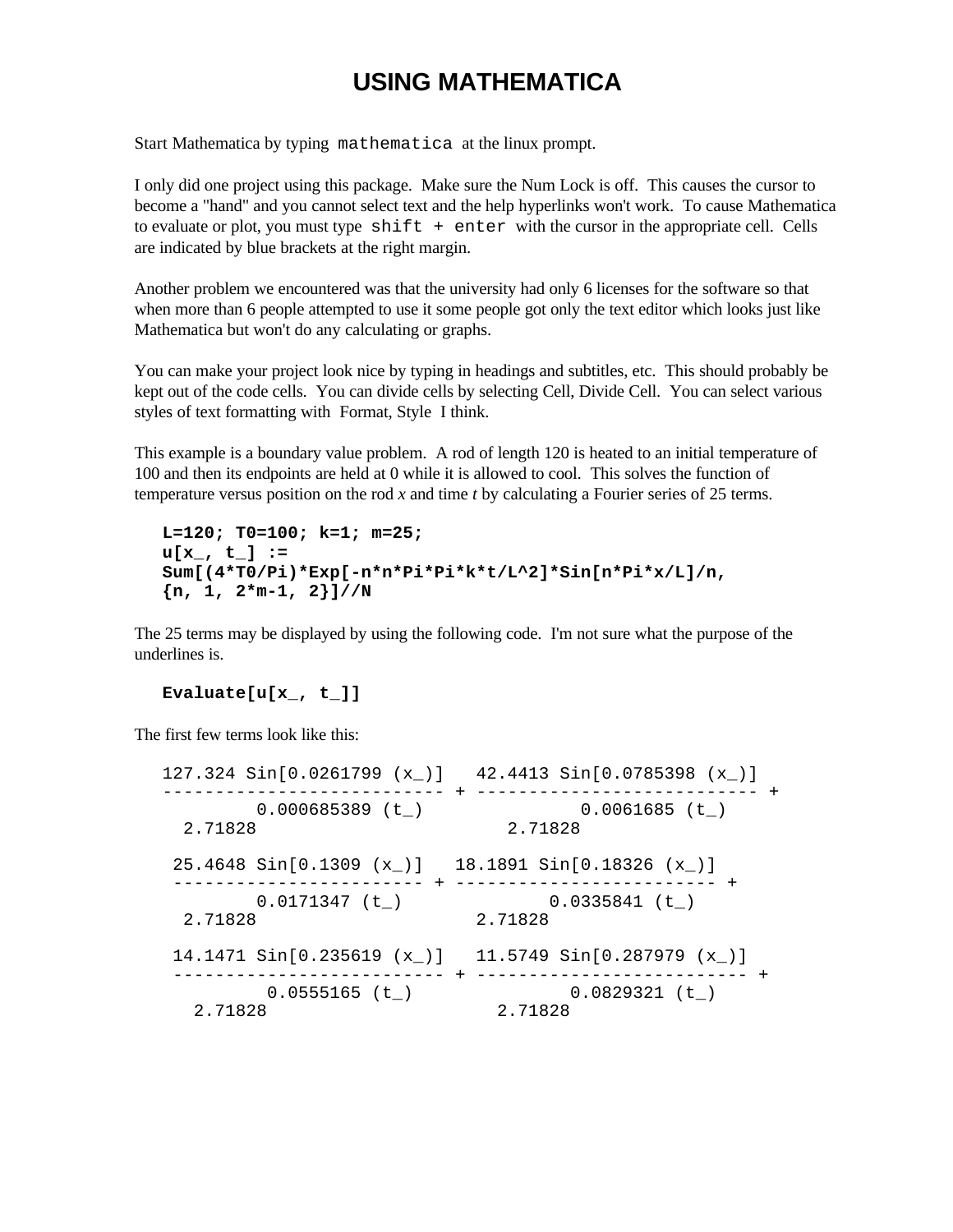## **USING MATHEMATICA**

Start Mathematica by typing mathematica at the linux prompt.

I only did one project using this package. Make sure the Num Lock is off. This causes the cursor to become a "hand" and you cannot select text and the help hyperlinks won't work. To cause Mathematica to evaluate or plot, you must type  $shift + enter$  with the cursor in the appropriate cell. Cells are indicated by blue brackets at the right margin.

Another problem we encountered was that the university had only 6 licenses for the software so that when more than 6 people attempted to use it some people got only the text editor which looks just like Mathematica but won't do any calculating or graphs.

You can make your project look nice by typing in headings and subtitles, etc. This should probably be kept out of the code cells. You can divide cells by selecting Cell, Divide Cell. You can select various styles of text formatting with Format, Style I think.

This example is a boundary value problem. A rod of length 120 is heated to an initial temperature of 100 and then its endpoints are held at 0 while it is allowed to cool. This solves the function of temperature versus position on the rod *x* and time *t* by calculating a Fourier series of 25 terms.

```
L=120; T0=100; k=1; m=25;
u[x_, t_] :=
Sum[(4*T0/Pi)*Exp[-n*n*Pi*Pi*k*t/L^2]*Sin[n*Pi*x/L]/n,
{n, 1, 2*m-1, 2}]//N
```
The 25 terms may be displayed by using the following code. I'm not sure what the purpose of the underlines is.

## **Evaluate[u[x\_, t\_]]**

The first few terms look like this:

```
127.324 Sin[0.0261799 (x_)] 42.4413 Sin[0.0785398 (x_)]
--------------------------- + --------------------------- +
     0.000685389 (t_)
  2.71828 2.71828
 25.4648 Sin[0.1309 (x_)] 18.1891 Sin[0.18326 (x_)]
 ------------------------ + ------------------------- +
                           0.0335841 (t_)
 0.011137, -, 2.71828<br>2.71828
 14.1471 Sin[0.235619 (x_)] 11.5749 Sin[0.287979 (x_)]
      -------------------------- + -------------------------- +
  0.0555165 (t_) 0.0829321 (t_)<br>2.71828 2.71828
                          2.71828 2.71828
```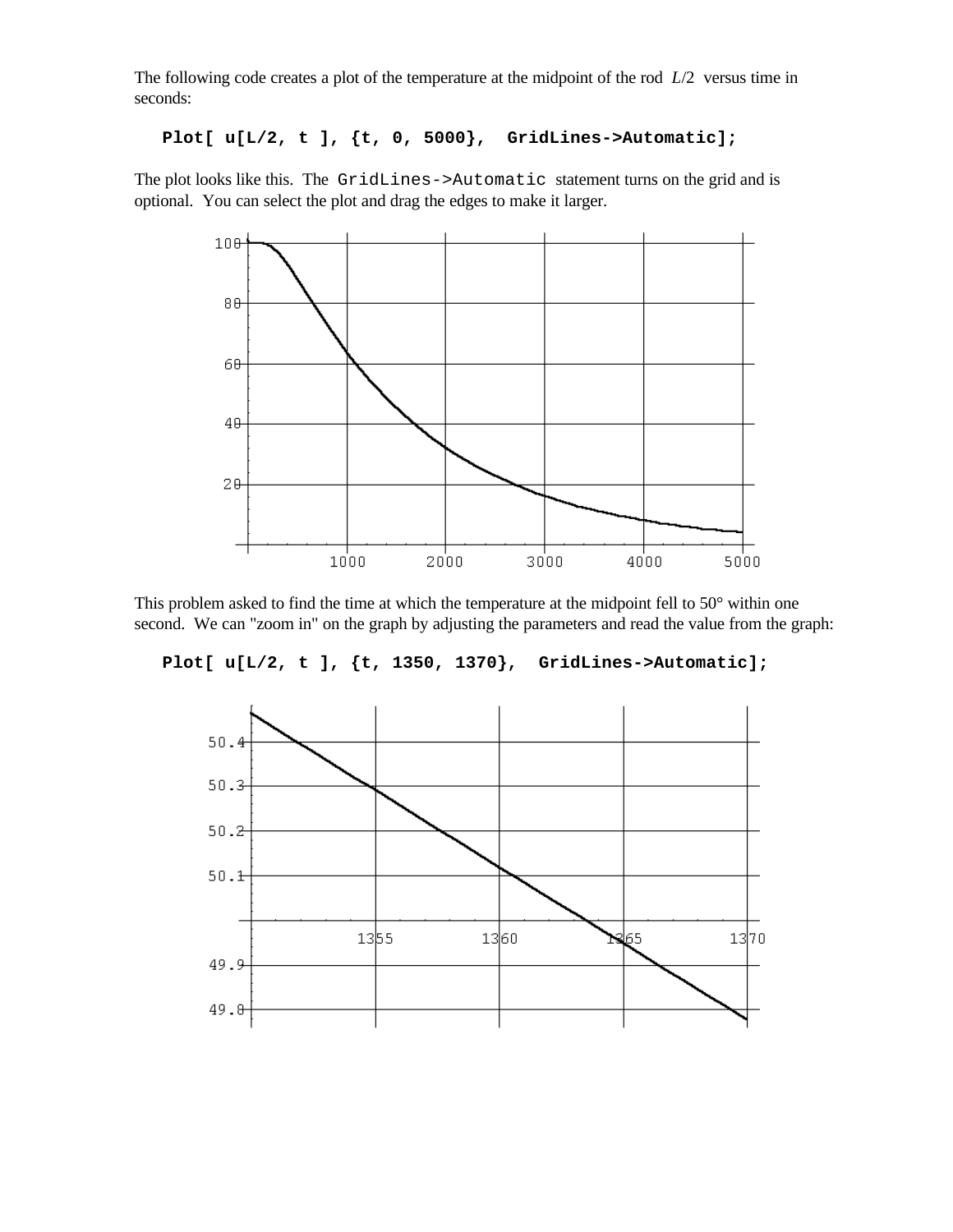The following code creates a plot of the temperature at the midpoint of the rod *L*/2 versus time in seconds:

```
Plot[ u[L/2, t ], {t, 0, 5000}, GridLines->Automatic];
```
The plot looks like this. The GridLines->Automatic statement turns on the grid and is optional. You can select the plot and drag the edges to make it larger.



This problem asked to find the time at which the temperature at the midpoint fell to 50° within one second. We can "zoom in" on the graph by adjusting the parameters and read the value from the graph:

**Plot[ u[L/2, t ], {t, 1350, 1370}, GridLines->Automatic];**